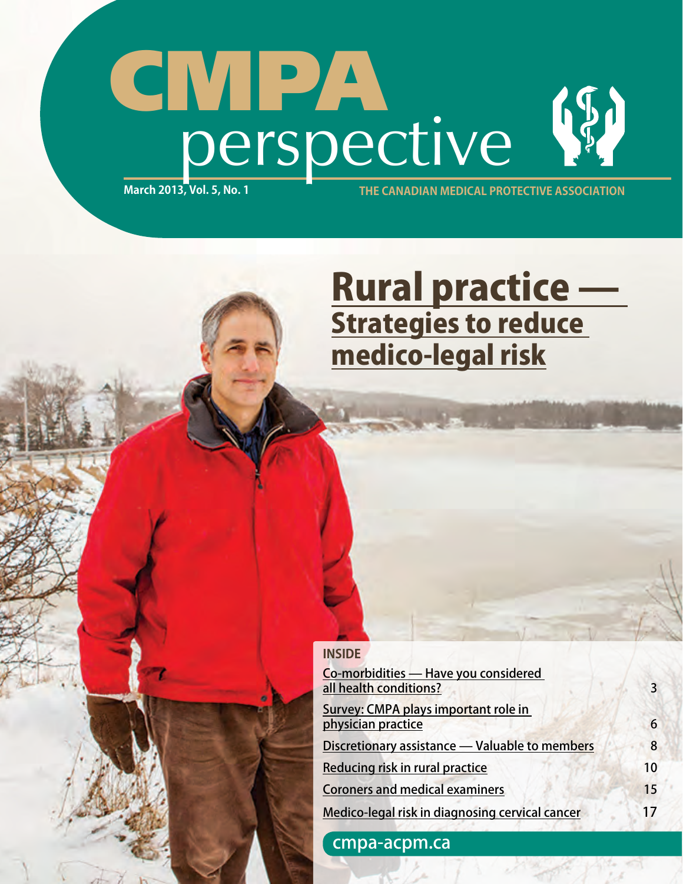## CMPA (5) perspective **March 2013, Vol. 5, No. 1 the canadian medical protective association**

# **Rural practice —<br>Strategies to reduce** <u>medico-legal risk</u>

### **INSIDE**

| Co-morbidities - Have you considered<br>all health conditions?<br>Survey: CMPA plays important role in<br>physician practice<br>Discretionary assistance - Valuable to members | 3<br>6<br>8 |                                                                                          |          |
|--------------------------------------------------------------------------------------------------------------------------------------------------------------------------------|-------------|------------------------------------------------------------------------------------------|----------|
|                                                                                                                                                                                |             | Reducing risk in rural practice                                                          | 10       |
|                                                                                                                                                                                |             | <b>Coroners and medical examiners</b><br>Medico-legal risk in diagnosing cervical cancer | 15<br>17 |

[cmpa-acpm.ca](http://www.cmpa-acpm.ca/cmpapd04/index.cfm)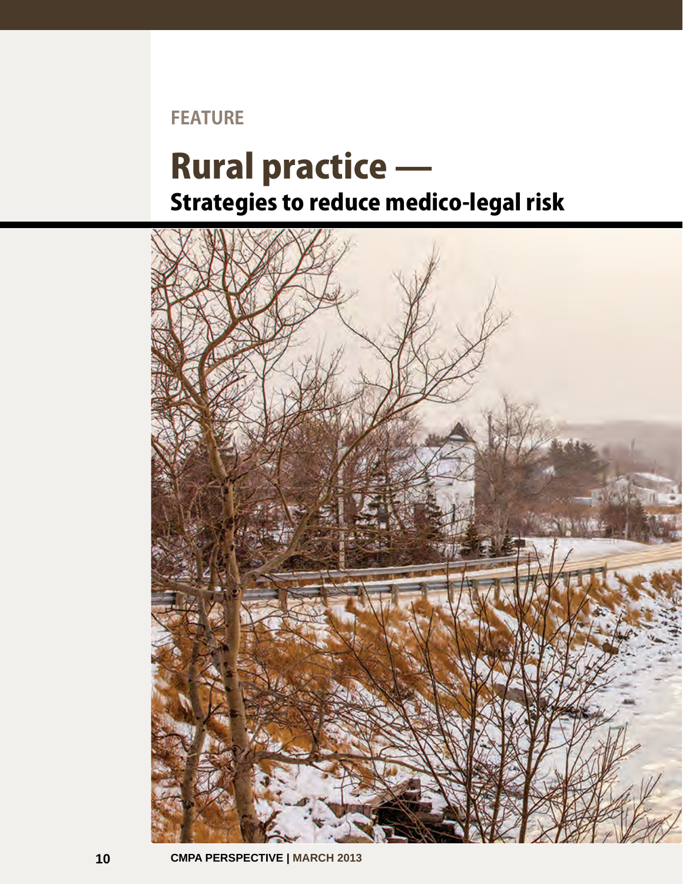### <span id="page-1-0"></span>**FEATURE**

### Rural practice — Strategies to reduce medico-legal risk

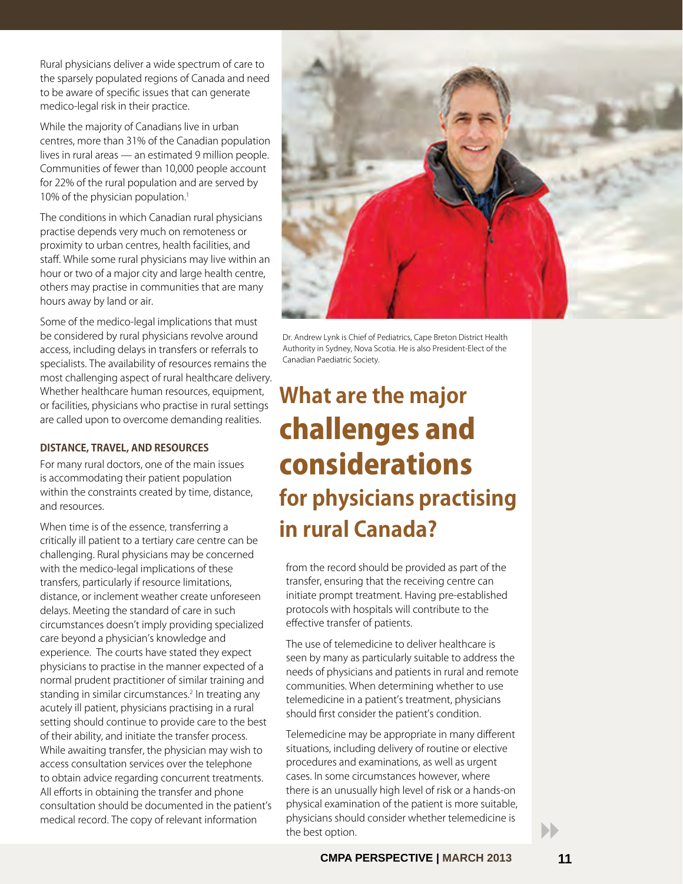Rural physicians deliver a wide spectrum of care to the sparsely populated regions of Canada and need to be aware of specific issues that can generate medico-legal risk in their practice.

While the majority of Canadians live in urban centres, more than 31% of the Canadian population lives in rural areas — an estimated 9 million people. Communities of fewer than 10,000 people account for 22% of the rural population and are served by 10% of the physician population.<sup>1</sup>

The conditions in which Canadian rural physicians practise depends very much on remoteness or proximity to urban centres, health facilities, and staff. While some rural physicians may live within an hour or two of a major city and large health centre, others may practise in communities that are many hours away by land or air.

Some of the medico-legal implications that must be considered by rural physicians revolve around access, including delays in transfers or referrals to specialists. The availability of resources remains the most challenging aspect of rural healthcare delivery. Whether healthcare human resources, equipment, or facilities, physicians who practise in rural settings are called upon to overcome demanding realities.

### **Distance, travel, and resources**

For many rural doctors, one of the main issues is accommodating their patient population within the constraints created by time, distance, and resources.

When time is of the essence, transferring a critically ill patient to a tertiary care centre can be challenging. Rural physicians may be concerned with the medico-legal implications of these transfers, particularly if resource limitations, distance, or inclement weather create unforeseen delays. Meeting the standard of care in such circumstances doesn't imply providing specialized care beyond a physician's knowledge and experience. The courts have stated they expect physicians to practise in the manner expected of a normal prudent practitioner of similar training and standing in similar circumstances.<sup>2</sup> In treating any acutely ill patient, physicians practising in a rural setting should continue to provide care to the best of their ability, and initiate the transfer process. While awaiting transfer, the physician may wish to access consultation services over the telephone to obtain advice regarding concurrent treatments. All efforts in obtaining the transfer and phone consultation should be documented in the patient's medical record. The copy of relevant information



Dr. Andrew Lynk is Chief of Pediatrics, Cape Breton District Health Authority in Sydney, Nova Scotia. He is also President-Elect of the Canadian Paediatric Society.

### **What are the major**  challenges and considerations **for physicians practising in rural Canada?**

from the record should be provided as part of the transfer, ensuring that the receiving centre can initiate prompt treatment. Having pre-established protocols with hospitals will contribute to the effective transfer of patients.

The use of telemedicine to deliver healthcare is seen by many as particularly suitable to address the needs of physicians and patients in rural and remote communities. When determining whether to use telemedicine in a patient's treatment, physicians should first consider the patient's condition.

Telemedicine may be appropriate in many different situations, including delivery of routine or elective procedures and examinations, as well as urgent cases. In some circumstances however, where there is an unusually high level of risk or a hands-on physical examination of the patient is more suitable, physicians should consider whether telemedicine is **the best option.**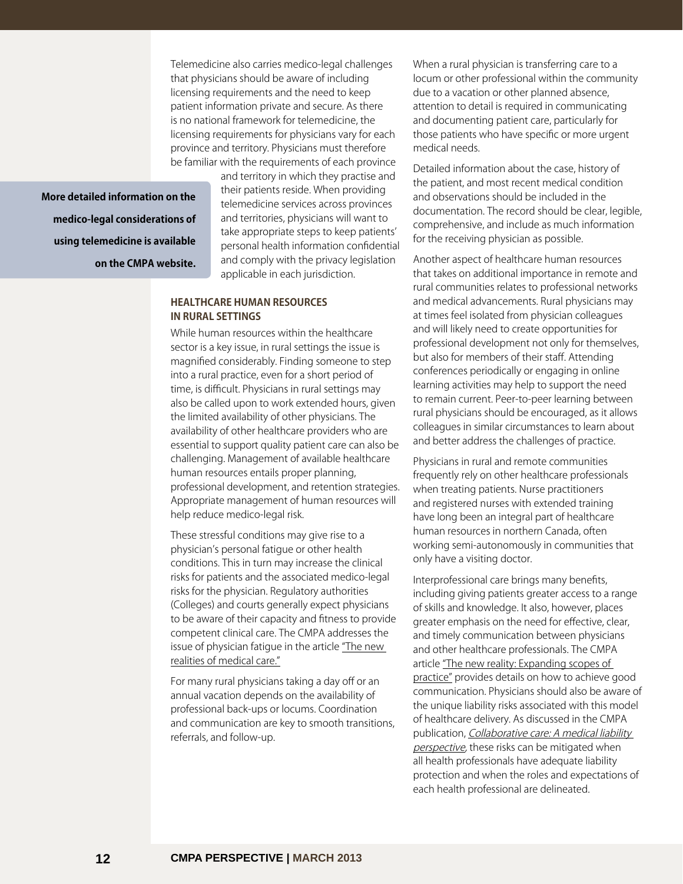Telemedicine also carries medico-legal challenges that physicians should be aware of including licensing requirements and the need to keep patient information private and secure. As there is no national framework for telemedicine, the licensing requirements for physicians vary for each province and territory. Physicians must therefore be familiar with the requirements of each province

**More detailed information on the medico-legal considerations of using telemedicine is available on the CMPA website.**

and territory in which they practise and their patients reside. When providing telemedicine services across provinces and territories, physicians will want to take appropriate steps to keep patients' personal health information confidential and comply with the privacy legislation applicable in each jurisdiction.

### **Healthcare human resources in rural settings**

While human resources within the healthcare sector is a key issue, in rural settings the issue is magnified considerably. Finding someone to step into a rural practice, even for a short period of time, is difficult. Physicians in rural settings may also be called upon to work extended hours, given the limited availability of other physicians. The availability of other healthcare providers who are essential to support quality patient care can also be challenging. Management of available healthcare human resources entails proper planning, professional development, and retention strategies. Appropriate management of human resources will help reduce medico-legal risk.

These stressful conditions may give rise to a physician's personal fatigue or other health conditions. This in turn may increase the clinical risks for patients and the associated medico-legal risks for the physician. Regulatory authorities (Colleges) and courts generally expect physicians to be aware of their capacity and fitness to provide competent clinical care. The CMPA addresses the [issue of physician fatigue in the article "The new](http://www.cmpa-acpm.ca/cmpapd04/docs/resource_files/perspective/2012/03/com_p1203_14-e.cfm)  realities of medical care."

For many rural physicians taking a day off or an annual vacation depends on the availability of professional back-ups or locums. Coordination and communication are key to smooth transitions, referrals, and follow-up.

When a rural physician is transferring care to a locum or other professional within the community due to a vacation or other planned absence, attention to detail is required in communicating and documenting patient care, particularly for those patients who have specific or more urgent medical needs.

Detailed information about the case, history of the patient, and most recent medical condition and observations should be included in the documentation. The record should be clear, legible, comprehensive, and include as much information for the receiving physician as possible.

Another aspect of healthcare human resources that takes on additional importance in remote and rural communities relates to professional networks and medical advancements. Rural physicians may at times feel isolated from physician colleagues and will likely need to create opportunities for professional development not only for themselves, but also for members of their staff. Attending conferences periodically or engaging in online learning activities may help to support the need to remain current. Peer-to-peer learning between rural physicians should be encouraged, as it allows colleagues in similar circumstances to learn about and better address the challenges of practice.

Physicians in rural and remote communities frequently rely on other healthcare professionals when treating patients. Nurse practitioners and registered nurses with extended training have long been an integral part of healthcare human resources in northern Canada, often working semi-autonomously in communities that only have a visiting doctor.

Interprofessional care brings many benefits, including giving patients greater access to a range of skills and knowledge. It also, however, places greater emphasis on the need for effective, clear, and timely communication between physicians and other healthcare professionals. The CMPA article "The new reality: Expanding scopes of [practice" provides details on how to achieve good](http://www.cmpa-acpm.ca/cmpapd04/docs/member_assistance/more/com_p1001_3-e.cfm) communication. Physicians should also be aware of the unique liability risks associated with this model of healthcare delivery. As discussed in the CMPA publication, [Collaborative care: A medical liability](http://www.cmpa-acpm.ca/cmpapd04/docs/submissions_papers/com_collaborative_care-e.cfm)  perspective, these risks can be mitigated when all health professionals have adequate liability protection and when the roles and expectations of each health professional are delineated.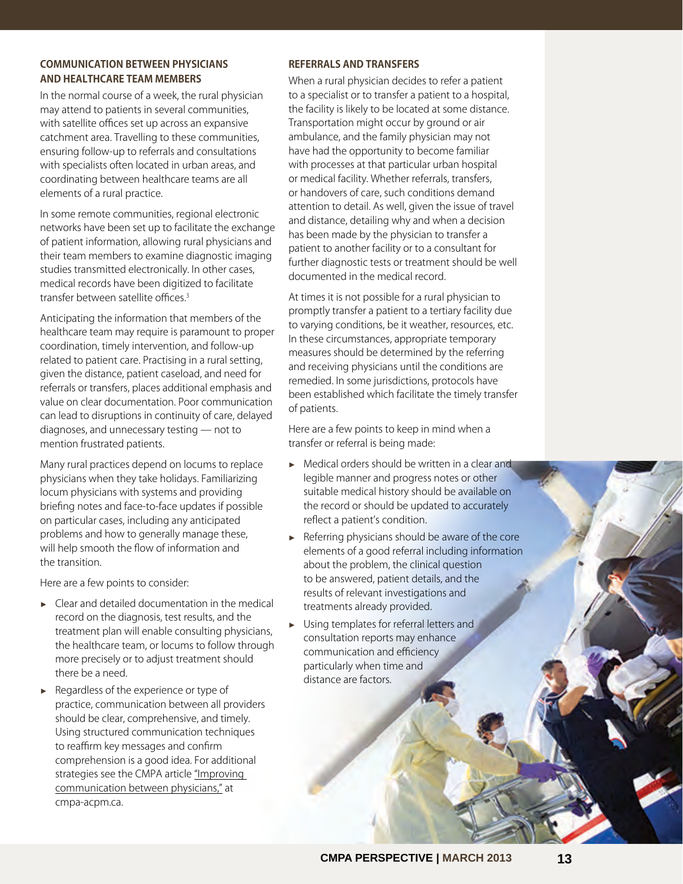### **Communication between physicians and healthcare team members**

In the normal course of a week, the rural physician may attend to patients in several communities, with satellite offices set up across an expansive catchment area. Travelling to these communities, ensuring follow-up to referrals and consultations with specialists often located in urban areas, and coordinating between healthcare teams are all elements of a rural practice.

In some remote communities, regional electronic networks have been set up to facilitate the exchange of patient information, allowing rural physicians and their team members to examine diagnostic imaging studies transmitted electronically. In other cases, medical records have been digitized to facilitate transfer between satellite offices.3

Anticipating the information that members of the healthcare team may require is paramount to proper coordination, timely intervention, and follow-up related to patient care. Practising in a rural setting, given the distance, patient caseload, and need for referrals or transfers, places additional emphasis and value on clear documentation. Poor communication can lead to disruptions in continuity of care, delayed diagnoses, and unnecessary testing — not to mention frustrated patients.

Many rural practices depend on locums to replace physicians when they take holidays. Familiarizing locum physicians with systems and providing briefing notes and face-to-face updates if possible on particular cases, including any anticipated problems and how to generally manage these, will help smooth the flow of information and the transition.

Here are a few points to consider:

- ► Clear and detailed documentation in the medical record on the diagnosis, test results, and the treatment plan will enable consulting physicians, the healthcare team, or locums to follow through more precisely or to adjust treatment should there be a need.
- ► Regardless of the experience or type of practice, communication between all providers should be clear, comprehensive, and timely. Using structured communication techniques to reaffirm key messages and confirm comprehension is a good idea. For additional [strategies see the CMPA article "Improving](http://www.cmpa-acpm.ca/cmpapd04/docs/resource_files/perspective/2011/02/com_p1102_2-e.cfm)  communication between physicians," at cmpa-acpm.ca.

#### **Referrals and transfers**

When a rural physician decides to refer a patient to a specialist or to transfer a patient to a hospital, the facility is likely to be located at some distance. Transportation might occur by ground or air ambulance, and the family physician may not have had the opportunity to become familiar with processes at that particular urban hospital or medical facility. Whether referrals, transfers, or handovers of care, such conditions demand attention to detail. As well, given the issue of travel and distance, detailing why and when a decision has been made by the physician to transfer a patient to another facility or to a consultant for further diagnostic tests or treatment should be well documented in the medical record.

At times it is not possible for a rural physician to promptly transfer a patient to a tertiary facility due to varying conditions, be it weather, resources, etc. In these circumstances, appropriate temporary measures should be determined by the referring and receiving physicians until the conditions are remedied. In some jurisdictions, protocols have been established which facilitate the timely transfer of patients.

Here are a few points to keep in mind when a transfer or referral is being made:

- ► Medical orders should be written in a clear and legible manner and progress notes or other suitable medical history should be available on the record or should be updated to accurately reflect a patient's condition.
- ► Referring physicians should be aware of the core elements of a good referral including information about the problem, the clinical question to be answered, patient details, and the results of relevant investigations and treatments already provided.
- Using templates for referral letters and consultation reports may enhance communication and efficiency particularly when time and distance are factors.

 $\overline{\mathbf{r}}$